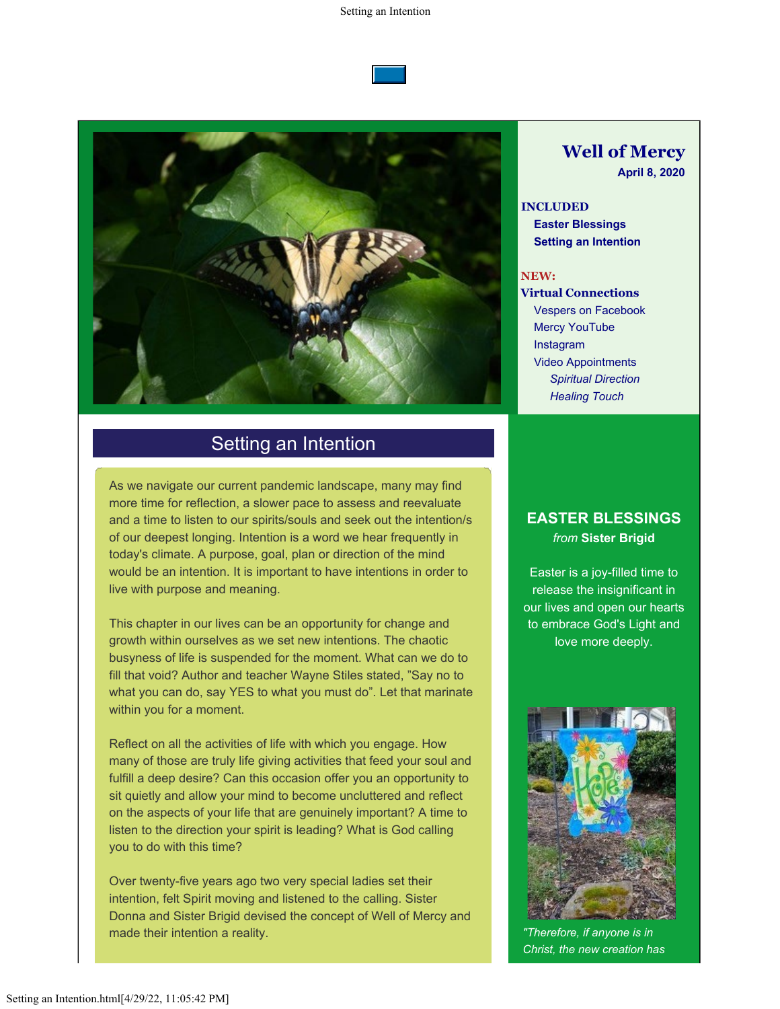



## Setting an Intention

As we navigate our current pandemic landscape, many may find more time for reflection, a slower pace to assess and reevaluate and a time to listen to our spirits/souls and seek out the intention/s of our deepest longing. Intention is a word we hear frequently in today's climate. A purpose, goal, plan or direction of the mind would be an intention. It is important to have intentions in order to live with purpose and meaning.

This chapter in our lives can be an opportunity for change and growth within ourselves as we set new intentions. The chaotic busyness of life is suspended for the moment. What can we do to fill that void? Author and teacher Wayne Stiles stated, "Say no to what you can do, say YES to what you must do". Let that marinate within you for a moment.

Reflect on all the activities of life with which you engage. How many of those are truly life giving activities that feed your soul and fulfill a deep desire? Can this occasion offer you an opportunity to sit quietly and allow your mind to become uncluttered and reflect on the aspects of your life that are genuinely important? A time to listen to the direction your spirit is leading? What is God calling you to do with this time?

Over twenty-five years ago two very special ladies set their intention, felt Spirit moving and listened to the calling. Sister Donna and Sister Brigid devised the concept of Well of Mercy and made their intention a reality.

# **Well of Mercy**

**April 8, 2020**

**INCLUDED Easter Blessings Setting an Intention**

#### **NEW:**

**Virtual Connections** Vespers on Facebook Mercy YouTube Instagram Video Appointments *Spiritual Direction Healing Touch*

### **EASTER BLESSINGS** *from* **Sister Brigid**

Easter is a joy-filled time to release the insignificant in our lives and open our hearts to embrace God's Light and love more deeply.



*"Therefore, if anyone is in Christ, the new creation has*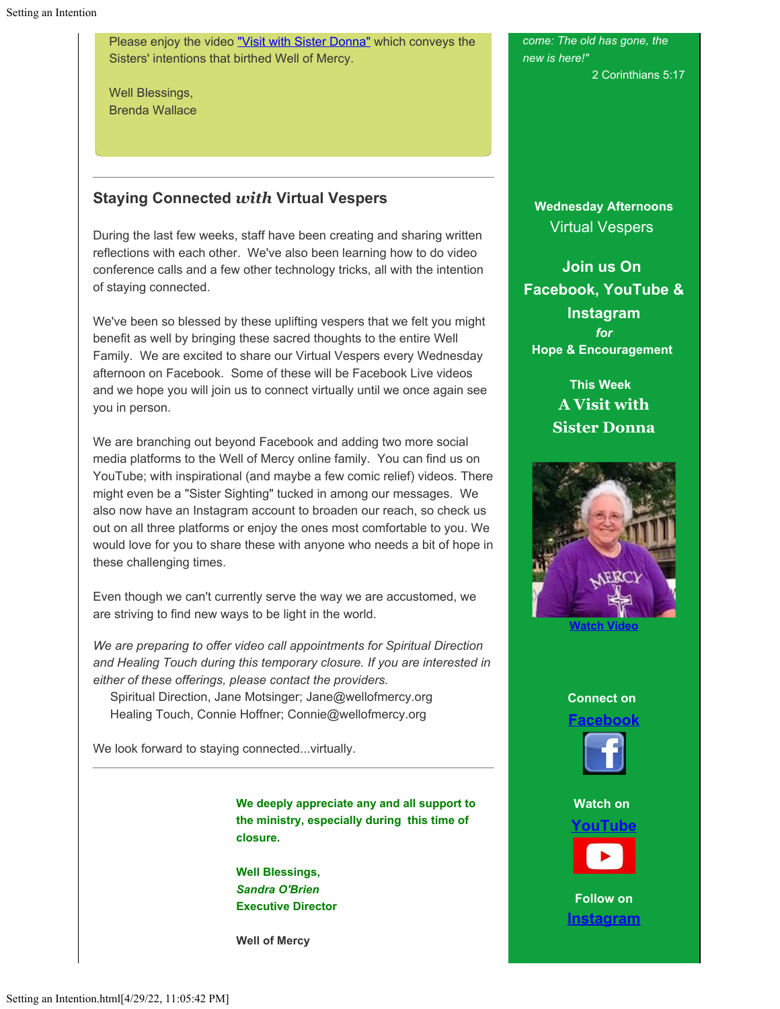Please enjoy the video ["Visit with Sister Donna"](https://cts.vresp.com/c/?WellofMercy/88a71311f1/1100c4dba2/4822570272/v=4ZhRjiy1JLY) which conveys the Sisters' intentions that birthed Well of Mercy.

Well Blessings, Brenda Wallace

## **Staying Connected** *with* **Virtual Vespers**

During the last few weeks, staff have been creating and sharing written reflections with each other. We've also been learning how to do video conference calls and a few other technology tricks, all with the intention of staying connected.

We've been so blessed by these uplifting vespers that we felt you might benefit as well by bringing these sacred thoughts to the entire Well Family. We are excited to share our Virtual Vespers every Wednesday afternoon on Facebook. Some of these will be Facebook Live videos and we hope you will join us to connect virtually until we once again see you in person.

We are branching out beyond Facebook and adding two more social media platforms to the Well of Mercy online family. You can find us on YouTube; with inspirational (and maybe a few comic relief) videos. There might even be a "Sister Sighting" tucked in among our messages. We also now have an Instagram account to broaden our reach, so check us out on all three platforms or enjoy the ones most comfortable to you. We would love for you to share these with anyone who needs a bit of hope in these challenging times.

Even though we can't currently serve the way we are accustomed, we are striving to find new ways to be light in the world.

*We are preparing to offer video call appointments for Spiritual Direction and Healing Touch during this temporary closure. If you are interested in either of these offerings, please contact the providers.* Spiritual Direction, Jane Motsinger; Jane@wellofmercy.org

Healing Touch, Connie Hoffner; Connie@wellofmercy.org

We look forward to staying connected...virtually.

**We deeply appreciate any and all support to the ministry, especially during this time of closure.**

**Well Blessings,** *Sandra O'Brien* **Executive Director**

**Well of Mercy**

*come: The old has gone, the new is here!"* 2 Corinthians 5:17

**Wednesday Afternoons** Virtual Vespers

**Join us On Facebook, YouTube & Instagram** *for* **Hope & Encouragement**

> **This Week A Visit with Sister Donna**



#### **Connect on**







**Follow on [Instagram](https://cts.vresp.com/c/?WellofMercy/88a71311f1/1100c4dba2/7b4ece1aa3)**